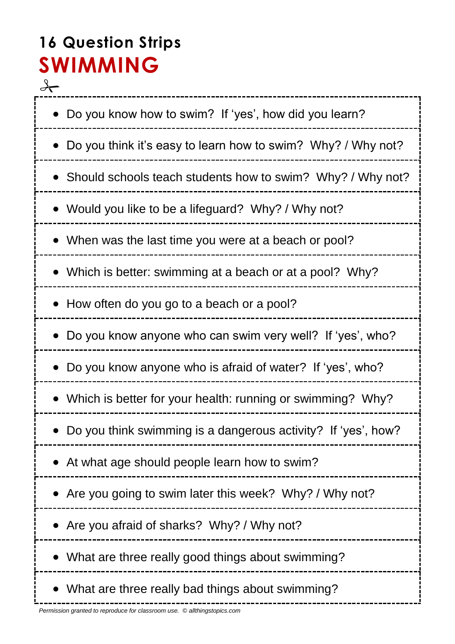## **16 Question Strips SWIMMING**

 $\rightarrow$ • Do you know how to swim? If 'yes', how did you learn? • Do you think it's easy to learn how to swim? Why? / Why not? • Should schools teach students how to swim? Why? / Why not? Would you like to be a lifeguard? Why? / Why not? When was the last time you were at a beach or pool? • Which is better: swimming at a beach or at a pool? Why? • How often do you go to a beach or a pool? Do you know anyone who can swim very well? If 'yes', who? Do you know anyone who is afraid of water? If 'yes', who? Which is better for your health: running or swimming? Why? Do you think swimming is a dangerous activity? If 'yes', how? At what age should people learn how to swim? • Are you going to swim later this week? Why? / Why not? Are you afraid of sharks? Why? / Why not? • What are three really good things about swimming? • What are three really bad things about swimming?